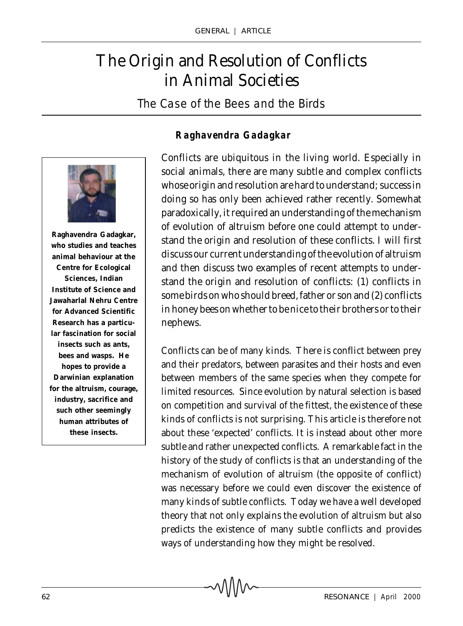# The Origin and Resolution of Conflicts in Animal Societies

The Case of the Bees and the Birds



**Raghavendra Gadagkar, who studies and teaches animal behaviour at the Centre for Ecological Sciences, Indian Institute of Science and Jawaharlal Nehru Centre for Advanced Scientific Research has a particular fascination for social insects such as ants, bees and wasps. He hopes to provide a Darwinian explanation for the altruism, courage, industry, sacrifice and such other seemingly human attributes of these insects.**

# *Raghavendra Gadagkar*

Conflicts are ubiquitous in the living world. Especially in social animals, there are many subtle and complex conflicts whose origin and resolution are hard to understand; success in doing so has only been achieved rather recently. Somewhat paradoxically, it required an understanding of the mechanism of evolution of altruism before one could attempt to understand the origin and resolution of these conflicts. I will first discuss our current understanding of the evolution of altruism and then discuss two examples of recent attempts to understand the origin and resolution of conflicts: (1) conflicts in some birds on who should breed, father or son and (2) conflicts in honey bees on whether to be nice to their brothers or to their nephews.

Conflicts can be of many kinds. There is conflict between prey and their predators, between parasites and their hosts and even between members of the same species when they compete for limited resources. Since evolution by natural selection is based on competition and survival of the fittest, the existence of these kinds of conflicts is not surprising. This article is therefore not about these 'expected' conflicts. It is instead about other more subtle and rather unexpected conflicts. A remarkable fact in the history of the study of conflicts is that an understanding of the mechanism of evolution of altruism (the opposite of conflict) was necessary before we could even discover the existence of many kinds of subtle conflicts. Today we have a well developed theory that not only explains the evolution of altruism but also predicts the existence of many subtle conflicts and provides ways of understanding how they might be resolved.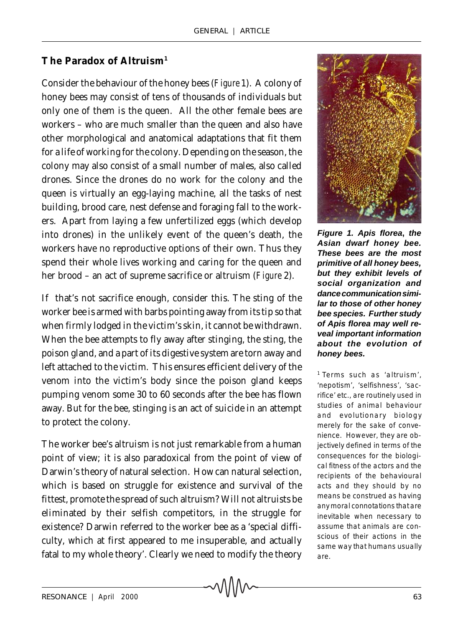## **The Paradox of Altruism1**

Consider the behaviour of the honey bees (*Figure* 1). A colony of honey bees may consist of tens of thousands of individuals but only one of them is the queen. All the other female bees are workers – who are much smaller than the queen and also have other morphological and anatomical adaptations that fit them for a life of working for the colony. Depending on the season, the colony may also consist of a small number of males, also called drones. Since the drones do no work for the colony and the queen is virtually an egg-laying machine, all the tasks of nest building, brood care, nest defense and foraging fall to the workers. Apart from laying a few unfertilized eggs (which develop into drones) in the unlikely event of the queen's death, the workers have no reproductive options of their own. Thus they spend their whole lives working and caring for the queen and her brood – an act of supreme sacrifice or altruism (*Figure* 2).

If that's not sacrifice enough, consider this. The sting of the worker bee is armed with barbs pointing away from its tip so that when firmly lodged in the victim's skin, it cannot be withdrawn. When the bee attempts to fly away after stinging, the sting, the poison gland, and a part of its digestive system are torn away and left attached to the victim. This ensures efficient delivery of the venom into the victim's body since the poison gland keeps pumping venom some 30 to 60 seconds after the bee has flown away. But for the bee, stinging is an act of suicide in an attempt to protect the colony.

The worker bee's altruism is not just remarkable from a human point of view; it is also paradoxical from the point of view of Darwin's theory of natural selection. How can natural selection, which is based on struggle for existence and survival of the fittest, promote the spread of such altruism? Will not altruists be eliminated by their selfish competitors, in the struggle for existence? Darwin referred to the worker bee as a 'special difficulty, which at first appeared to me insuperable, and actually fatal to my whole theory'. Clearly we need to modify the theory



*Figure 1. Apis florea***,** *the Asian dwarf honey bee. These bees are the most primitive of all honey bees, but they exhibit levels of social organization and dance communication similar to those of other honey bee species. Further study of Apis florea may well reveal important information about the evolution of honey bees.*

1 Terms such as 'altruism', 'nepotism', 'selfishness', 'sacrifice' etc., are routinely used in studies of animal behaviour and evolutionary biology merely for the sake of convenience. However, they are objectively defined in terms of the consequences for the biological fitness of the actors and the recipients of the behavioural acts and they should by no means be construed as having any moral connotations that are inevitable when necessary to assume that animals are conscious of their actions in the same way that humans usually are.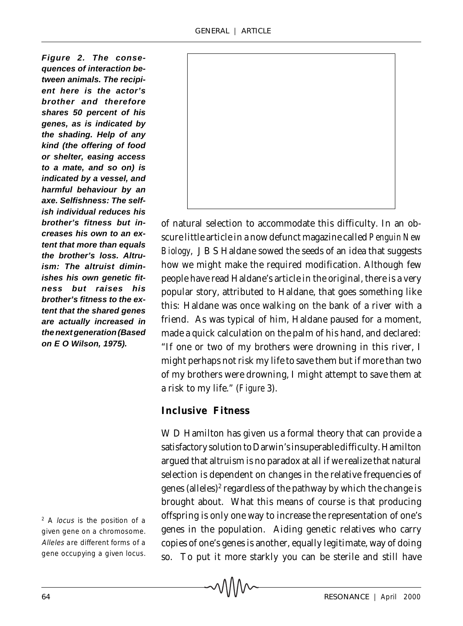GENERAL | ARTICLE

*Figure 2. The consequences of interaction between animals. The recipient here is the actor's brother and therefore shares 50 percent of his genes, as is indicated by the shading. Help of any kind (the offering of food or shelter, easing access to a mate, and so on) is indicated by a vessel, and harmful behaviour by an axe. Selfishness: The selfish individual reduces his brother's fitness but increases his own to an extent that more than equals the brother's loss. Altruism: The altruist diminishes his own genetic fitness but raises his brother's fitness to the extent that the shared genes are actually increased in the next generation (Based on E O Wilson, 1975).*

2 A locus is the position of a given gene on a chromosome. Alleles are different forms of a gene occupying a given locus.



#### **Inclusive Fitness**

W D Hamilton has given us a formal theory that can provide a satisfactory solution to Darwin's insuperable difficulty. Hamilton argued that altruism is no paradox at all if we realize that natural selection is dependent on changes in the relative frequencies of genes (alleles)<sup>2</sup> regardless of the pathway by which the change is brought about. What this means of course is that producing offspring is only one way to increase the representation of one's genes in the population. Aiding genetic relatives who carry copies of one's genes is another, equally legitimate, way of doing so. To put it more starkly you can be sterile and still have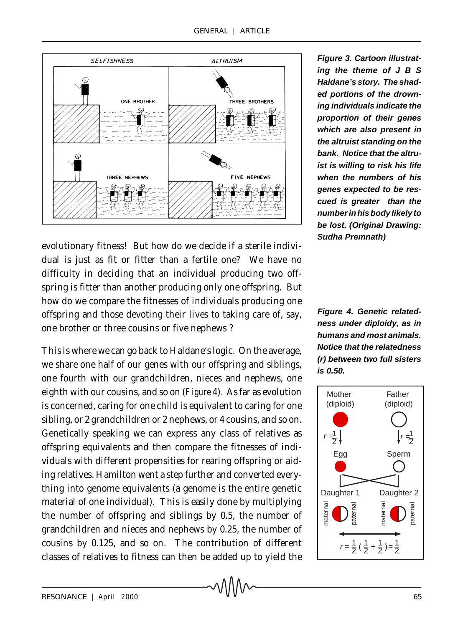

evolutionary fitness! But how do we decide if a sterile individual is just as fit or fitter than a fertile one? We have no difficulty in deciding that an individual producing two offspring is fitter than another producing only one offspring. But how do we compare the fitnesses of individuals producing one offspring and those devoting their lives to taking care of, say, one brother or three cousins or five nephews ?

This is where we can go back to Haldane's logic. On the average, we share one half of our genes with our offspring and siblings, one fourth with our grandchildren, nieces and nephews, one eighth with our cousins, and so on (*Figure* 4). As far as evolution is concerned, caring for one child is equivalent to caring for one sibling, or 2 grandchildren or 2 nephews, or 4 cousins, and so on. Genetically speaking we can express any class of relatives as offspring equivalents and then compare the fitnesses of individuals with different propensities for rearing offspring or aiding relatives. Hamilton went a step further and converted everything into genome equivalents (a genome is the entire genetic material of one individual). This is easily done by multiplying the number of offspring and siblings by 0.5, the number of grandchildren and nieces and nephews by 0.25, the number of cousins by 0.125, and so on. The contribution of different classes of relatives to fitness can then be added up to yield the

*Figure 3. Cartoon illustrating the theme of J B S Haldane's story. The shaded portions of the drowning individuals indicate the proportion of their genes which are also present in the altruist standing on the bank. Notice that the altruist is willing to risk his life when the numbers of his genes expected to be rescued is greater than the number in his body likely to be lost. (Original Drawing: Sudha Premnath)*

*Figure 4. Genetic relatedness under diploidy, as in humans and most animals. Notice that the relatedness (r) between two full sisters is 0.50.*

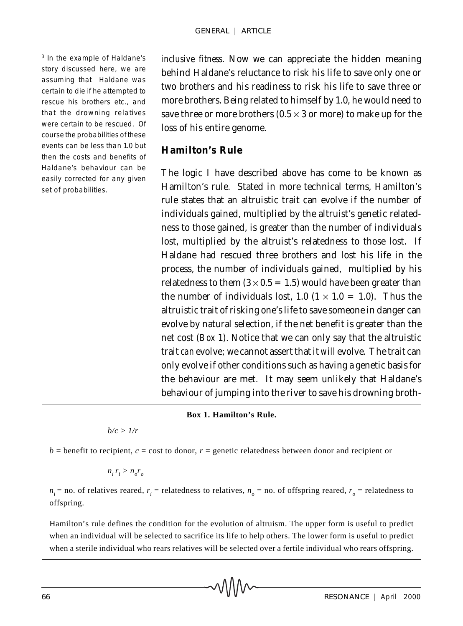3 In the example of Haldane's story discussed here, we are assuming that Haldane was certain to die if he attempted to rescue his brothers etc., and that the drowning relatives were certain to be rescued. Of course the probabilities of these events can be less than 1.0 but then the costs and benefits of Haldane's behaviour can be easily corrected for any given set of probabilities.

*inclusive fitness*. Now we can appreciate the hidden meaning behind Haldane's reluctance to risk his life to save only one or two brothers and his readiness to risk his life to save three or more brothers. Being related to himself by 1.0, he would need to save three or more brothers ( $0.5 \times 3$  or more) to make up for the loss of his entire genome.

# **Hamilton's Rule**

The logic I have described above has come to be known as Hamilton's rule. Stated in more technical terms, Hamilton's rule states that an altruistic trait can evolve if the number of individuals gained, multiplied by the altruist's genetic relatedness to those gained, is greater than the number of individuals lost, multiplied by the altruist's relatedness to those lost. If Haldane had rescued three brothers and lost his life in the process, the number of individuals gained, multiplied by his relatedness to them  $(3 \times 0.5 = 1.5)$  would have been greater than the number of individuals lost, 1.0 ( $1 \times 1.0 = 1.0$ ). Thus the altruistic trait of risking one's life to save someone in danger can evolve by natural selection, if the net benefit is greater than the net cost (*Box* 1). Notice that we can only say that the altruistic trait *can* evolve; we cannot assert that it *will* evolve. The trait can only evolve if other conditions such as having a genetic basis for the behaviour are met. It may seem unlikely that Haldane's behaviour of jumping into the river to save his drowning broth-

#### **Box 1. Hamilton's Rule.**

 $b/c > 1/r$ 

 $b =$  benefit to recipient,  $c =$  cost to donor,  $r =$  genetic relatedness between donor and recipient or

$$
n_{i}\,r_{i} > n_{o}r_{o}
$$

 $n_i$  = no. of relatives reared,  $r_i$  = relatedness to relatives,  $n_o$  = no. of offspring reared,  $r_o$  = relatedness to offspring.

Hamilton's rule defines the condition for the evolution of altruism. The upper form is useful to predict when an individual will be selected to sacrifice its life to help others. The lower form is useful to predict when a sterile individual who rears relatives will be selected over a fertile individual who rears offspring.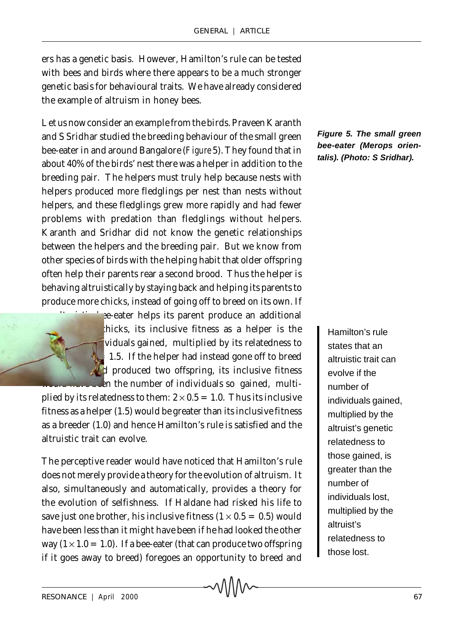ers has a genetic basis. However, Hamilton's rule can be tested with bees and birds where there appears to be a much stronger genetic basis for behavioural traits. We have already considered the example of altruism in honey bees.

Let us now consider an example from the birds. Praveen Karanth and S Sridhar studied the breeding behaviour of the small green bee-eater in and around Bangalore (*Figure* 5). They found that in about 40% of the birds' nest there was a helper in addition to the breeding pair. The helpers must truly help because nests with helpers produced more fledglings per nest than nests without helpers, and these fledglings grew more rapidly and had fewer problems with predation than fledglings without helpers. Karanth and Sridhar did not know the genetic relationships between the helpers and the breeding pair. But we know from other species of birds with the helping habit that older offspring often help their parents rear a second brood. Thus the helper is behaving altruistically by staying back and helping its parents to produce more chicks, instead of going off to breed on its own. If

> pe-eater helps its parent produce an additional hicks, its inclusive fitness as a helper is the viduals gained, multiplied by its relatedness to 1.5. If the helper had instead gone off to breed  $\mathbb{Z}$ d produced two offspring, its inclusive fitness mave been the number of individuals so gained, multi-

plied by its relatedness to them:  $2 \times 0.5 = 1.0$ . Thus its inclusive fitness as a helper (1.5) would be greater than its inclusive fitness as a breeder (1.0) and hence Hamilton's rule is satisfied and the altruistic trait can evolve.

The perceptive reader would have noticed that Hamilton's rule does not merely provide a theory for the evolution of altruism. It also, simultaneously and automatically, provides a theory for the evolution of selfishness. If Haldane had risked his life to save just one brother, his inclusive fitness  $(1 \times 0.5 = 0.5)$  would have been less than it might have been if he had looked the other way  $(1 \times 1.0 = 1.0)$ . If a bee-eater (that can produce two offspring if it goes away to breed) foregoes an opportunity to breed and

## *Figure 5. The small green bee-eater (Merops orientalis). (Photo: S Sridhar).*

Hamilton's rule states that an altruistic trait can evolve if the number of individuals gained, multiplied by the altruist's genetic relatedness to those gained, is greater than the number of individuals lost, multiplied by the altruist's relatedness to those lost.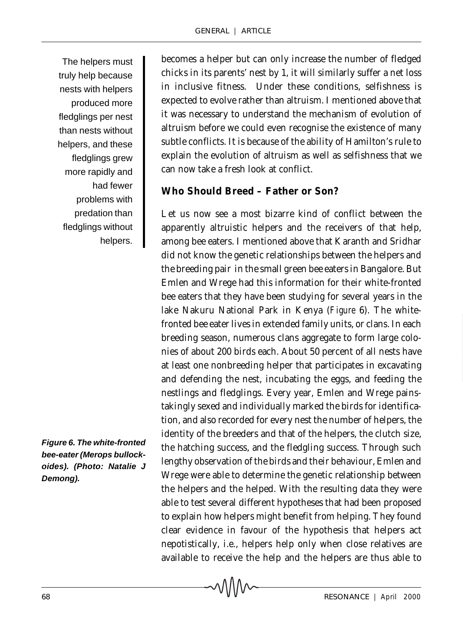The helpers must truly help because nests with helpers produced more fledglings per nest than nests without helpers, and these fledglings grew more rapidly and had fewer problems with predation than fledglings without helpers.

*Figure 6. The white-fronted bee-eater (Merops bullockoides). (Photo: Natalie J Demong).*

becomes a helper but can only increase the number of fledged chicks in its parents' nest by 1, it will similarly suffer a net loss in inclusive fitness. Under these conditions, selfishness is expected to evolve rather than altruism. I mentioned above that it was necessary to understand the mechanism of evolution of altruism before we could even recognise the existence of many subtle conflicts. It is because of the ability of Hamilton's rule to explain the evolution of altruism as well as selfishness that we can now take a fresh look at conflict.

## **Who Should Breed – Father or Son?**

Let us now see a most bizarre kind of conflict between the apparently altruistic helpers and the receivers of that help, among bee eaters. I mentioned above that Karanth and Sridhar did not know the genetic relationships between the helpers and the breeding pair in the small green bee eaters in Bangalore. But Emlen and Wrege had this information for their white-fronted bee eaters that they have been studying for several years in the lake Nakuru National Park in Kenya (*Figure* 6). The whitefronted bee eater lives in extended family units, or clans. In each breeding season, numerous clans aggregate to form large colonies of about 200 birds each. About 50 percent of all nests have at least one nonbreeding helper that participates in excavating and defending the nest, incubating the eggs, and feeding the nestlings and fledglings. Every year, Emlen and Wrege painstakingly sexed and individually marked the birds for identification, and also recorded for every nest the number of helpers, the identity of the breeders and that of the helpers, the clutch size, the hatching success, and the fledgling success. Through such lengthy observation of the birds and their behaviour, Emlen and Wrege were able to determine the genetic relationship between the helpers and the helped. With the resulting data they were able to test several different hypotheses that had been proposed to explain how helpers might benefit from helping. They found clear evidence in favour of the hypothesis that helpers act nepotistically, i.e., helpers help only when close relatives are available to receive the help and the helpers are thus able to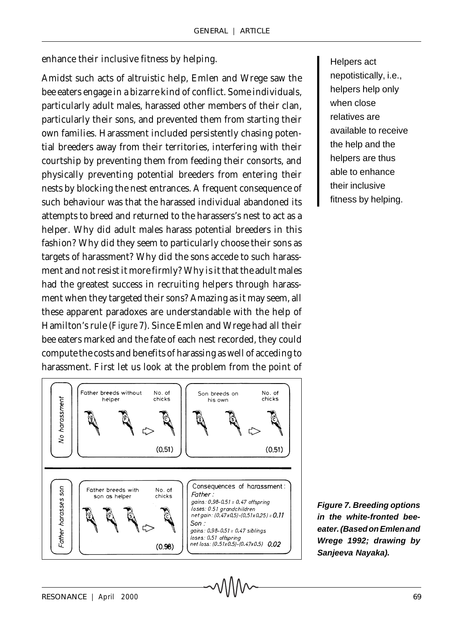enhance their inclusive fitness by helping.

Amidst such acts of altruistic help, Emlen and Wrege saw the bee eaters engage in a bizarre kind of conflict. Some individuals, particularly adult males, harassed other members of their clan, particularly their sons, and prevented them from starting their own families. Harassment included persistently chasing potential breeders away from their territories, interfering with their courtship by preventing them from feeding their consorts, and physically preventing potential breeders from entering their nests by blocking the nest entrances. A frequent consequence of such behaviour was that the harassed individual abandoned its attempts to breed and returned to the harassers's nest to act as a helper. Why did adult males harass potential breeders in this fashion? Why did they seem to particularly choose their sons as targets of harassment? Why did the sons accede to such harassment and not resist it more firmly? Why is it that the adult males had the greatest success in recruiting helpers through harassment when they targeted their sons? Amazing as it may seem, all these apparent paradoxes are understandable with the help of Hamilton's rule (*Figure* 7). Since Emlen and Wrege had all their bee eaters marked and the fate of each nest recorded, they could compute the costs and benefits of harassing as well of acceding to harassment. First let us look at the problem from the point of



Helpers act nepotistically, i.e., helpers help only when close relatives are available to receive the help and the helpers are thus able to enhance their inclusive fitness by helping.

*Figure 7. Breeding options in the white-fronted beeeater. (Based on Emlen and Wrege 1992; drawing by Sanjeeva Nayaka).*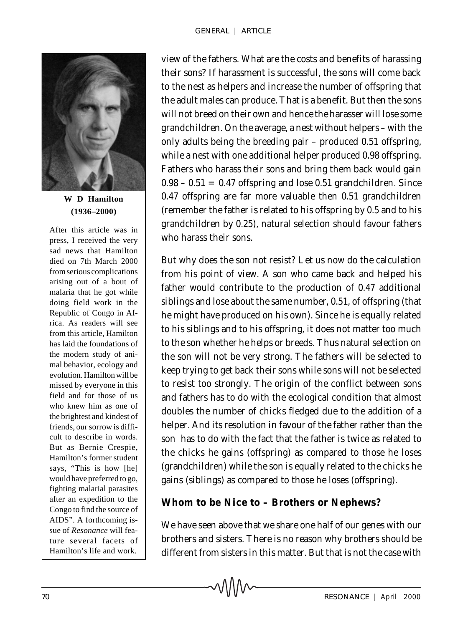

**W D Hamilton (1936–2000)**

After this article was in press, I received the very sad news that Hamilton died on 7th March 2000 from serious complications arising out of a bout of malaria that he got while doing field work in the Republic of Congo in Africa. As readers will see from this article, Hamilton has laid the foundations of the modern study of animal behavior, ecology and evolution. Hamilton will be missed by everyone in this field and for those of us who knew him as one of the brightest and kindest of friends, our sorrow is difficult to describe in words. But as Bernie Crespie, Hamilton's former student says, "This is how [he] would have preferred to go, fighting malarial parasites after an expedition to the Congo to find the source of AIDS". A forthcoming issue of *Resonance* will feature several facets of Hamilton's life and work.

view of the fathers. What are the costs and benefits of harassing their sons? If harassment is successful, the sons will come back to the nest as helpers and increase the number of offspring that the adult males can produce. That is a benefit. But then the sons will not breed on their own and hence the harasser will lose some grandchildren. On the average, a nest without helpers – with the only adults being the breeding pair – produced 0.51 offspring, while a nest with one additional helper produced 0.98 offspring. Fathers who harass their sons and bring them back would gain  $0.98 - 0.51 = 0.47$  offspring and lose 0.51 grandchildren. Since 0.47 offspring are far more valuable then 0.51 grandchildren (remember the father is related to his offspring by 0.5 and to his grandchildren by 0.25), natural selection should favour fathers who harass their sons.

But why does the son not resist? Let us now do the calculation from his point of view. A son who came back and helped his father would contribute to the production of 0.47 additional siblings and lose about the same number, 0.51, of offspring (that he might have produced on his own). Since he is equally related to his siblings and to his offspring, it does not matter too much to the son whether he helps or breeds. Thus natural selection on the son will not be very strong. The fathers will be selected to keep trying to get back their sons while sons will not be selected to resist too strongly. The origin of the conflict between sons and fathers has to do with the ecological condition that almost doubles the number of chicks fledged due to the addition of a helper. And its resolution in favour of the father rather than the son has to do with the fact that the father is twice as related to the chicks he gains (offspring) as compared to those he loses (grandchildren) while the son is equally related to the chicks he gains (siblings) as compared to those he loses (offspring).

## **Whom to be Nice to – Brothers or Nephews?**

We have seen above that we share one half of our genes with our brothers and sisters. There is no reason why brothers should be different from sisters in this matter. But that is not the case with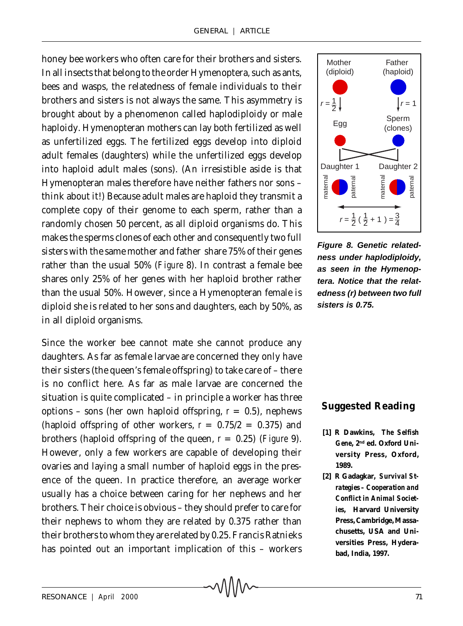honey bee workers who often care for their brothers and sisters. In all insects that belong to the order Hymenoptera, such as ants, bees and wasps, the relatedness of female individuals to their brothers and sisters is not always the same. This asymmetry is brought about by a phenomenon called haplodiploidy or male haploidy. Hymenopteran mothers can lay both fertilized as well as unfertilized eggs. The fertilized eggs develop into diploid adult females (daughters) while the unfertilized eggs develop into haploid adult males (sons). (An irresistible aside is that Hymenopteran males therefore have neither fathers nor sons – think about it!) Because adult males are haploid they transmit a complete copy of their genome to each sperm, rather than a randomly chosen 50 percent, as all diploid organisms do. This makes the sperms clones of each other and consequently two full sisters with the same mother and father share 75% of their genes rather than the usual 50% (*Figure* 8). In contrast a female bee shares only 25% of her genes with her haploid brother rather than the usual 50%. However, since a Hymenopteran female is diploid she is related to her sons and daughters, each by 50%, as in all diploid organisms.

Since the worker bee cannot mate she cannot produce any daughters. As far as female larvae are concerned they only have their sisters (the queen's female offspring) to take care of – there is no conflict here. As far as male larvae are concerned the situation is quite complicated – in principle a worker has three options – sons (her own haploid offspring, *r* = 0.5), nephews (haploid offspring of other workers,  $r = 0.75/2 = 0.375$ ) and brothers (haploid offspring of the queen, *r* = 0.25) (*Figure* 9). However, only a few workers are capable of developing their ovaries and laying a small number of haploid eggs in the presence of the queen. In practice therefore, an average worker usually has a choice between caring for her nephews and her brothers. Their choice is obvious – they should prefer to care for their nephews to whom they are related by 0.375 rather than their brothers to whom they are related by 0.25. Francis Ratnieks has pointed out an important implication of this – workers



*Figure 8. Genetic relatedness under haplodiploidy, as seen in the Hymenoptera. Notice that the relatedness (r) between two full sisters is 0.75.*

### **Suggested Reading**

- **[1] R Dawkins,** *The Selfish Gene***, 2nd ed. Oxford University Press, Oxford, 1989.**
- **[2] R Gadagkar,** *Survival Strategies – Cooperation and Conflict in Animal Societies***, Harvard University Press, Cambridge, Massachusetts, USA and Universities Press, Hyderabad, India, 1997.**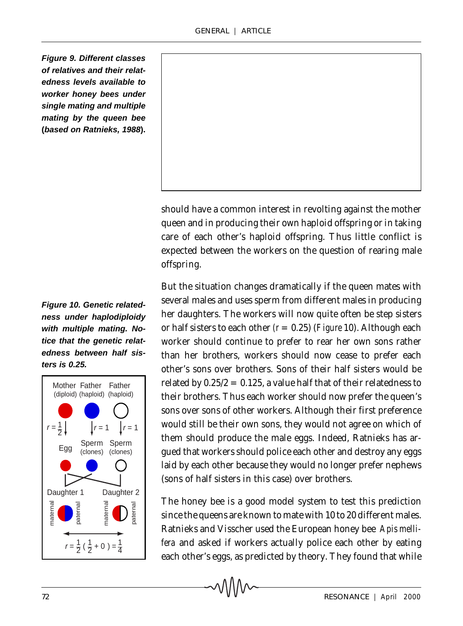*Figure 9. Different classes of relatives and their relatedness levels available to worker honey bees under single mating and multiple mating by the queen bee* **(***based on Ratnieks, 1988***).**







should have a common interest in revolting against the mother queen and in producing their own haploid offspring or in taking care of each other's haploid offspring. Thus little conflict is expected between the workers on the question of rearing male offspring.

But the situation changes dramatically if the queen mates with several males and uses sperm from different males in producing her daughters. The workers will now quite often be step sisters or half sisters to each other *(r* = 0.25) (*Figure* 10). Although each worker should continue to prefer to rear her own sons rather than her brothers, workers should now cease to prefer each other's sons over brothers. Sons of their half sisters would be related by  $0.25/2 = 0.125$ , a value half that of their relatedness to their brothers. Thus each worker should now prefer the queen's sons over sons of other workers. Although their first preference would still be their own sons, they would not agree on which of them should produce the male eggs. Indeed, Ratnieks has argued that workers should police each other and destroy any eggs laid by each other because they would no longer prefer nephews (sons of half sisters in this case) over brothers.

The honey bee is a good model system to test this prediction since the queens are known to mate with 10 to 20 different males. Ratnieks and Visscher used the European honey bee *Apis mellifera* and asked if workers actually police each other by eating each other's eggs, as predicted by theory. They found that while